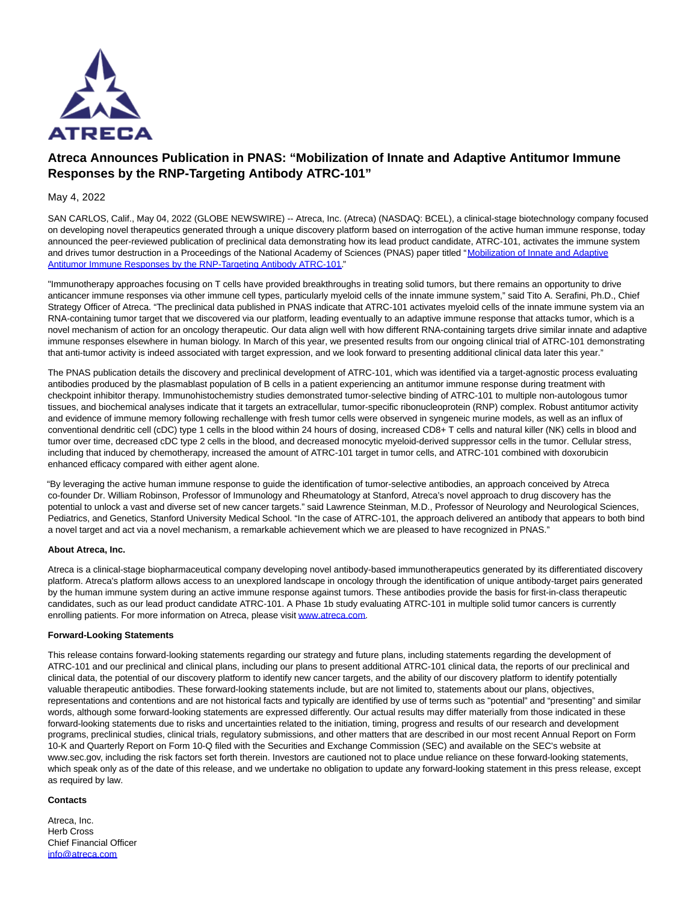

# **Atreca Announces Publication in PNAS: "Mobilization of Innate and Adaptive Antitumor Immune Responses by the RNP-Targeting Antibody ATRC-101"**

## May 4, 2022

SAN CARLOS, Calif., May 04, 2022 (GLOBE NEWSWIRE) -- Atreca, Inc. (Atreca) (NASDAQ: BCEL), a clinical-stage biotechnology company focused on developing novel therapeutics generated through a unique discovery platform based on interrogation of the active human immune response, today announced the peer-reviewed publication of preclinical data demonstrating how its lead product candidate, ATRC-101, activates the immune system and drives tumor destruction in a Proceedings of the National Academy of Sciences (PNAS) paper titled ["Mobilization of Innate and Adaptive](https://www.globenewswire.com/Tracker?data=DHsIydxTVOPyGpa-EhZoLuxOVvQGDuoFBHrqG7VI3fyLpq0kZ1lv9n9aljQ3yX7q3HU_SU3-nsvL1dWAPvO7HWzKwi-LXCemoqyVq81XMMFcFj3K4fhntCtM9rwU0j98LQcGa8cVdeqiwSsYsS470dQK3FeXW0QqnfBAjFzyb8XKMWiLu-ciWrci9U_5Cuw7tlOwgjJ8WuJcuxmCPlIyHXvL2nDDdrasPIxH0AxDg7A=) Antitumor Immune Responses by the RNP-Targeting Antibody ATRC-101."

"Immunotherapy approaches focusing on T cells have provided breakthroughs in treating solid tumors, but there remains an opportunity to drive anticancer immune responses via other immune cell types, particularly myeloid cells of the innate immune system," said Tito A. Serafini, Ph.D., Chief Strategy Officer of Atreca. "The preclinical data published in PNAS indicate that ATRC-101 activates myeloid cells of the innate immune system via an RNA-containing tumor target that we discovered via our platform, leading eventually to an adaptive immune response that attacks tumor, which is a novel mechanism of action for an oncology therapeutic. Our data align well with how different RNA-containing targets drive similar innate and adaptive immune responses elsewhere in human biology. In March of this year, we presented results from our ongoing clinical trial of ATRC-101 demonstrating that anti-tumor activity is indeed associated with target expression, and we look forward to presenting additional clinical data later this year."

The PNAS publication details the discovery and preclinical development of ATRC-101, which was identified via a target-agnostic process evaluating antibodies produced by the plasmablast population of B cells in a patient experiencing an antitumor immune response during treatment with checkpoint inhibitor therapy. Immunohistochemistry studies demonstrated tumor-selective binding of ATRC-101 to multiple non-autologous tumor tissues, and biochemical analyses indicate that it targets an extracellular, tumor-specific ribonucleoprotein (RNP) complex. Robust antitumor activity and evidence of immune memory following rechallenge with fresh tumor cells were observed in syngeneic murine models, as well as an influx of conventional dendritic cell (cDC) type 1 cells in the blood within 24 hours of dosing, increased CD8+ T cells and natural killer (NK) cells in blood and tumor over time, decreased cDC type 2 cells in the blood, and decreased monocytic myeloid-derived suppressor cells in the tumor. Cellular stress, including that induced by chemotherapy, increased the amount of ATRC-101 target in tumor cells, and ATRC-101 combined with doxorubicin enhanced efficacy compared with either agent alone.

"By leveraging the active human immune response to guide the identification of tumor-selective antibodies, an approach conceived by Atreca co-founder Dr. William Robinson, Professor of Immunology and Rheumatology at Stanford, Atreca's novel approach to drug discovery has the potential to unlock a vast and diverse set of new cancer targets." said Lawrence Steinman, M.D., Professor of Neurology and Neurological Sciences, Pediatrics, and Genetics, Stanford University Medical School. "In the case of ATRC-101, the approach delivered an antibody that appears to both bind a novel target and act via a novel mechanism, a remarkable achievement which we are pleased to have recognized in PNAS."

### **About Atreca, Inc.**

Atreca is a clinical-stage biopharmaceutical company developing novel antibody-based immunotherapeutics generated by its differentiated discovery platform. Atreca's platform allows access to an unexplored landscape in oncology through the identification of unique antibody-target pairs generated by the human immune system during an active immune response against tumors. These antibodies provide the basis for first-in-class therapeutic candidates, such as our lead product candidate ATRC-101. A Phase 1b study evaluating ATRC-101 in multiple solid tumor cancers is currently enrolling patients. For more information on Atreca, please visit www.atreca.com.

### **Forward-Looking Statements**

This release contains forward-looking statements regarding our strategy and future plans, including statements regarding the development of ATRC-101 and our preclinical and clinical plans, including our plans to present additional ATRC-101 clinical data, the reports of our preclinical and clinical data, the potential of our discovery platform to identify new cancer targets, and the ability of our discovery platform to identify potentially valuable therapeutic antibodies. These forward-looking statements include, but are not limited to, statements about our plans, objectives, representations and contentions and are not historical facts and typically are identified by use of terms such as "potential" and "presenting" and similar words, although some forward-looking statements are expressed differently. Our actual results may differ materially from those indicated in these forward-looking statements due to risks and uncertainties related to the initiation, timing, progress and results of our research and development programs, preclinical studies, clinical trials, regulatory submissions, and other matters that are described in our most recent Annual Report on Form 10-K and Quarterly Report on Form 10-Q filed with the Securities and Exchange Commission (SEC) and available on the SEC's website at www.sec.gov, including the risk factors set forth therein. Investors are cautioned not to place undue reliance on these forward-looking statements, which speak only as of the date of this release, and we undertake no obligation to update any forward-looking statement in this press release, except as required by law.

#### **Contacts**

Atreca, Inc. Herb Cross Chief Financial Officer [info@atreca.com](https://www.globenewswire.com/Tracker?data=y0B-DvSabcAxKtcSrFePSn4G5I1CWTSVt0-zzgOpa8bpa55usg6DioFc7dxAwRnNpEiHr3RirBAAOFoIU6kuUg==)